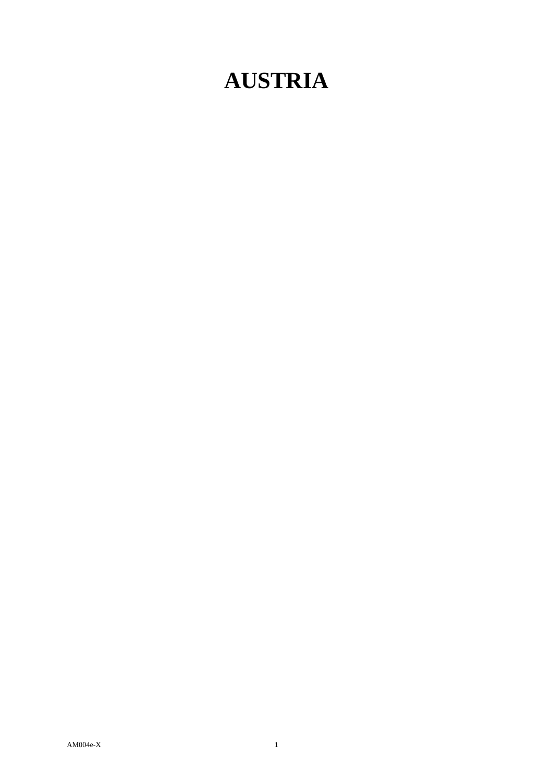## **AUSTRIA**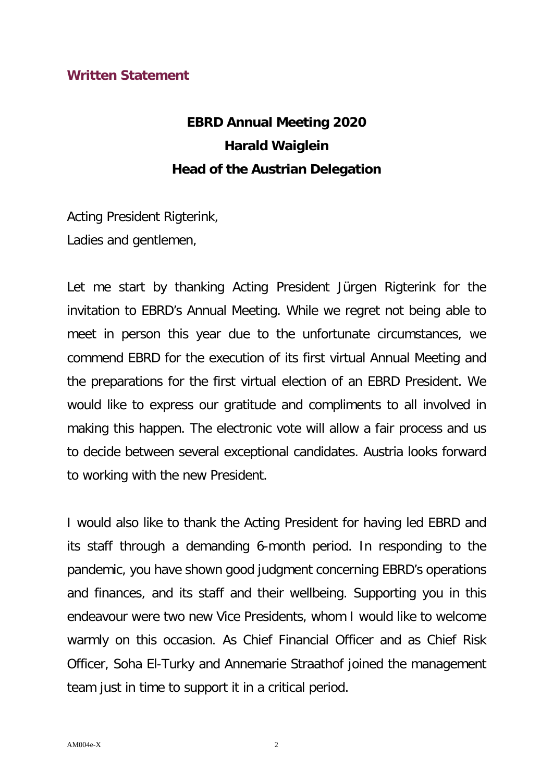## **Written Statement**

## **EBRD Annual Meeting 2020 Harald Waiglein Head of the Austrian Delegation**

Acting President Rigterink, Ladies and gentlemen,

Let me start by thanking Acting President Jürgen Rigterink for the invitation to EBRD's Annual Meeting. While we regret not being able to meet in person this year due to the unfortunate circumstances, we commend EBRD for the execution of its first virtual Annual Meeting and the preparations for the first virtual election of an EBRD President. We would like to express our gratitude and compliments to all involved in making this happen. The electronic vote will allow a fair process and us to decide between several exceptional candidates. Austria looks forward to working with the new President.

I would also like to thank the Acting President for having led EBRD and its staff through a demanding 6-month period. In responding to the pandemic, you have shown good judgment concerning EBRD's operations and finances, and its staff and their wellbeing. Supporting you in this endeavour were two new Vice Presidents, whom I would like to welcome warmly on this occasion. As Chief Financial Officer and as Chief Risk Officer, Soha El-Turky and Annemarie Straathof joined the management team just in time to support it in a critical period.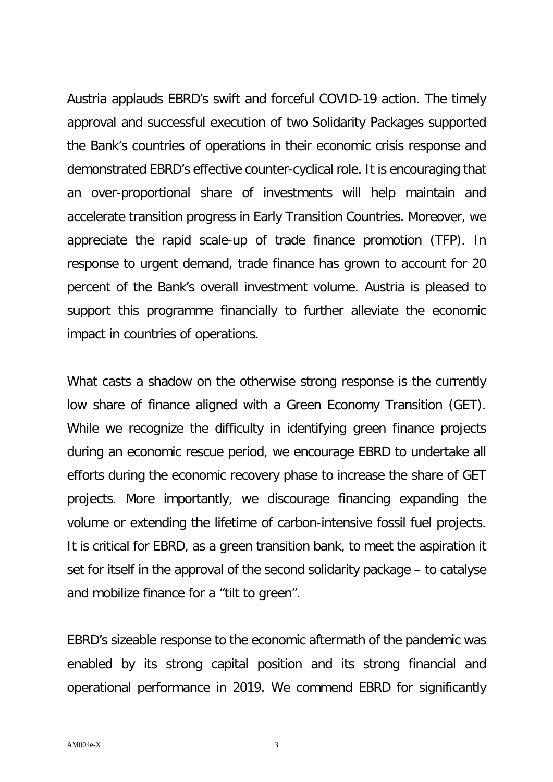Austria applauds EBRD's swift and forceful COVID-19 action. The timely approval and successful execution of two Solidarity Packages supported the Bank's countries of operations in their economic crisis response and demonstrated EBRD's effective counter-cyclical role. It is encouraging that an over-proportional share of investments will help maintain and accelerate transition progress in Early Transition Countries. Moreover, we appreciate the rapid scale-up of trade finance promotion (TFP). In response to urgent demand, trade finance has grown to account for 20 percent of the Bank's overall investment volume. Austria is pleased to support this programme financially to further alleviate the economic impact in countries of operations.

What casts a shadow on the otherwise strong response is the currently low share of finance aligned with a Green Economy Transition (GET). While we recognize the difficulty in identifying green finance projects during an economic rescue period, we encourage EBRD to undertake all efforts during the economic recovery phase to increase the share of GET projects. More importantly, we discourage financing expanding the volume or extending the lifetime of carbon-intensive fossil fuel projects. It is critical for EBRD, as a green transition bank, to meet the aspiration it set for itself in the approval of the second solidarity package – to catalyse and mobilize finance for a "tilt to green".

EBRD's sizeable response to the economic aftermath of the pandemic was enabled by its strong capital position and its strong financial and operational performance in 2019. We commend EBRD for significantly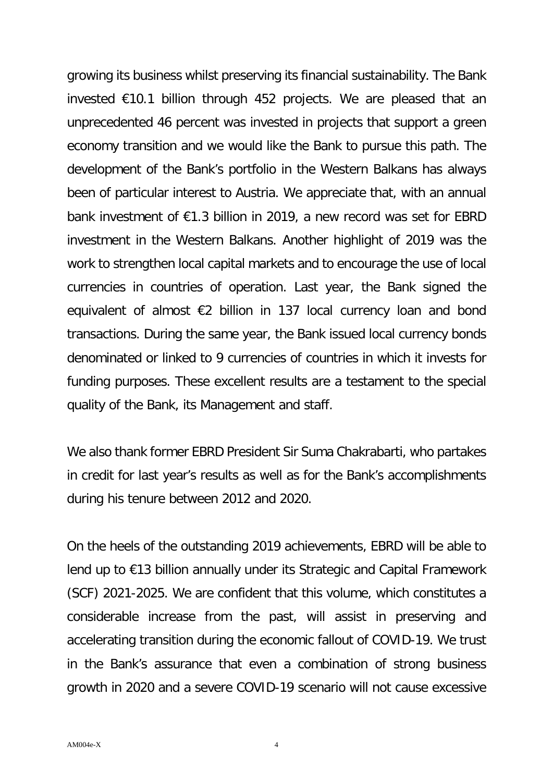growing its business whilst preserving its financial sustainability. The Bank invested €10.1 billion through 452 projects. We are pleased that an unprecedented 46 percent was invested in projects that support a green economy transition and we would like the Bank to pursue this path. The development of the Bank's portfolio in the Western Balkans has always been of particular interest to Austria. We appreciate that, with an annual bank investment of €1.3 billion in 2019, a new record was set for EBRD investment in the Western Balkans. Another highlight of 2019 was the work to strengthen local capital markets and to encourage the use of local currencies in countries of operation. Last year, the Bank signed the equivalent of almost €2 billion in 137 local currency loan and bond transactions. During the same year, the Bank issued local currency bonds denominated or linked to 9 currencies of countries in which it invests for funding purposes. These excellent results are a testament to the special quality of the Bank, its Management and staff.

We also thank former EBRD President Sir Suma Chakrabarti, who partakes in credit for last year's results as well as for the Bank's accomplishments during his tenure between 2012 and 2020.

On the heels of the outstanding 2019 achievements, EBRD will be able to lend up to €13 billion annually under its Strategic and Capital Framework (SCF) 2021-2025. We are confident that this volume, which constitutes a considerable increase from the past, will assist in preserving and accelerating transition during the economic fallout of COVID-19. We trust in the Bank's assurance that even a combination of strong business growth in 2020 and a severe COVID-19 scenario will not cause excessive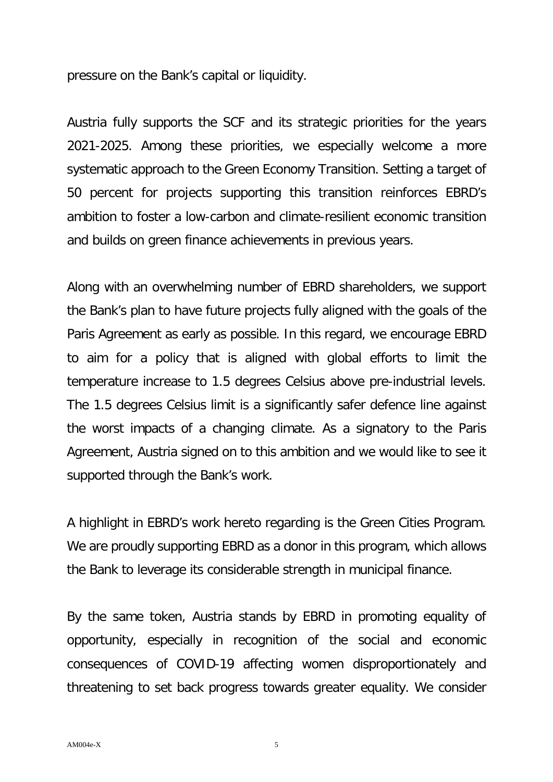pressure on the Bank's capital or liquidity.

Austria fully supports the SCF and its strategic priorities for the years 2021-2025. Among these priorities, we especially welcome a more systematic approach to the Green Economy Transition. Setting a target of 50 percent for projects supporting this transition reinforces EBRD's ambition to foster a low-carbon and climate-resilient economic transition and builds on green finance achievements in previous years.

Along with an overwhelming number of EBRD shareholders, we support the Bank's plan to have future projects fully aligned with the goals of the Paris Agreement as early as possible. In this regard, we encourage EBRD to aim for a policy that is aligned with global efforts to limit the temperature increase to 1.5 degrees Celsius above pre-industrial levels. The 1.5 degrees Celsius limit is a significantly safer defence line against the worst impacts of a changing climate. As a signatory to the Paris Agreement, Austria signed on to this ambition and we would like to see it supported through the Bank's work.

A highlight in EBRD's work hereto regarding is the Green Cities Program. We are proudly supporting EBRD as a donor in this program, which allows the Bank to leverage its considerable strength in municipal finance.

By the same token, Austria stands by EBRD in promoting equality of opportunity, especially in recognition of the social and economic consequences of COVID-19 affecting women disproportionately and threatening to set back progress towards greater equality. We consider